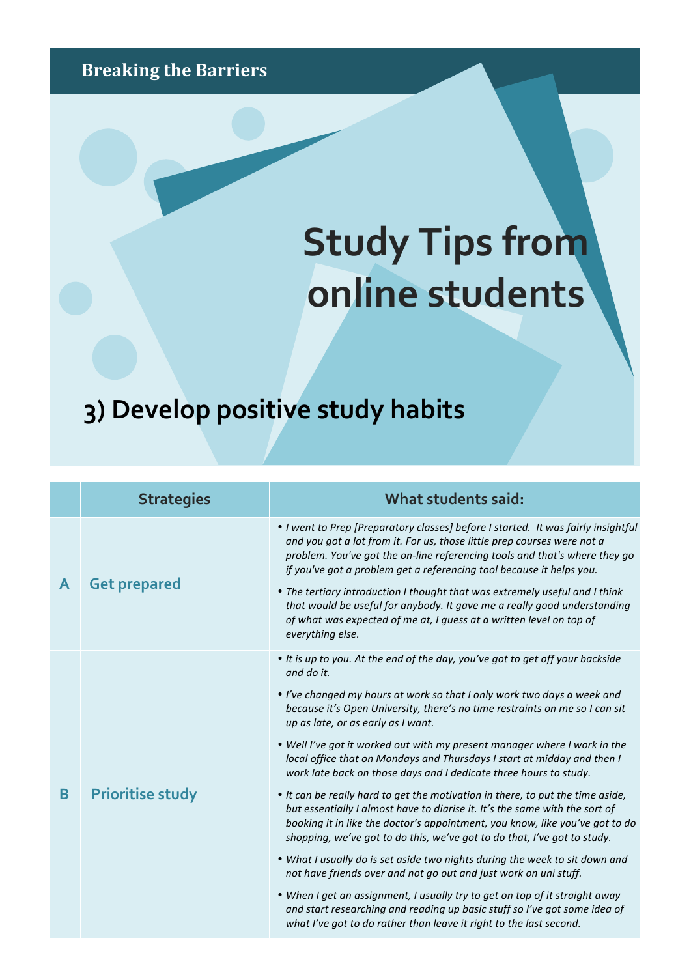## **Breaking the Barriers**

## **Study Tips from online students**

## **3) Develop positive study habits**

|   | <b>Strategies</b>       | What students said:                                                                                                                                                                                                                                                                                                                                                                                                                                                                                                                                                      |
|---|-------------------------|--------------------------------------------------------------------------------------------------------------------------------------------------------------------------------------------------------------------------------------------------------------------------------------------------------------------------------------------------------------------------------------------------------------------------------------------------------------------------------------------------------------------------------------------------------------------------|
| A | <b>Get prepared</b>     | • I went to Prep [Preparatory classes] before I started. It was fairly insightful<br>and you got a lot from it. For us, those little prep courses were not a<br>problem. You've got the on-line referencing tools and that's where they go<br>if you've got a problem get a referencing tool because it helps you.<br>• The tertiary introduction I thought that was extremely useful and I think<br>that would be useful for anybody. It gave me a really good understanding<br>of what was expected of me at, I guess at a written level on top of<br>everything else. |
| B | <b>Prioritise study</b> | • It is up to you. At the end of the day, you've got to get off your backside<br>and do it.<br>. I've changed my hours at work so that I only work two days a week and<br>because it's Open University, there's no time restraints on me so I can sit<br>up as late, or as early as I want.<br>. Well I've got it worked out with my present manager where I work in the<br>local office that on Mondays and Thursdays I start at midday and then I<br>work late back on those days and I dedicate three hours to study.                                                 |
|   |                         | • It can be really hard to get the motivation in there, to put the time aside,<br>but essentially I almost have to diarise it. It's the same with the sort of<br>booking it in like the doctor's appointment, you know, like you've got to do<br>shopping, we've got to do this, we've got to do that, I've got to study.<br>. What I usually do is set aside two nights during the week to sit down and                                                                                                                                                                 |
|   |                         | not have friends over and not go out and just work on uni stuff.                                                                                                                                                                                                                                                                                                                                                                                                                                                                                                         |
|   |                         | • When I get an assignment, I usually try to get on top of it straight away<br>and start researching and reading up basic stuff so I've got some idea of<br>what I've got to do rather than leave it right to the last second.                                                                                                                                                                                                                                                                                                                                           |